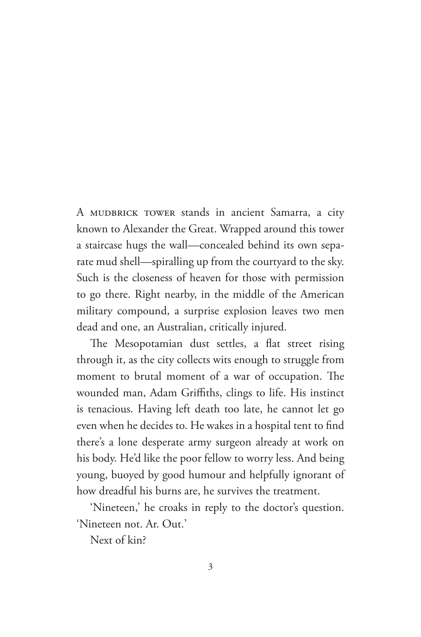A MUDBRICK TOWER stands in ancient Samarra, a city known to Alexander the Great. Wrapped around this tower a staircase hugs the wall—concealed behind its own separate mud shell—spiralling up from the courtyard to the sky. Such is the closeness of heaven for those with permission to go there. Right nearby, in the middle of the American military compound, a surprise explosion leaves two men dead and one, an Australian, critically injured.

The Mesopotamian dust settles, a flat street rising through it, as the city collects wits enough to struggle from moment to brutal moment of a war of occupation. The wounded man, Adam Griffiths, clings to life. His instinct is tenacious. Having left death too late, he cannot let go even when he decides to. He wakes in a hospital tent to find there's a lone desperate army surgeon already at work on his body. He'd like the poor fellow to worry less. And being young, buoyed by good humour and helpfully ignorant of how dreadful his burns are, he survives the treatment.

'Nineteen,' he croaks in reply to the doctor's question. 'Nineteen not. Ar. Out.'

Next of kin?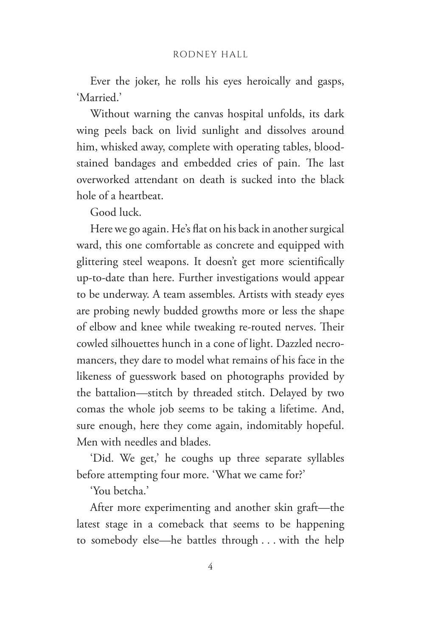Ever the joker, he rolls his eyes heroically and gasps, 'Married.'

Without warning the canvas hospital unfolds, its dark wing peels back on livid sunlight and dissolves around him, whisked away, complete with operating tables, bloodstained bandages and embedded cries of pain. The last overworked attendant on death is sucked into the black hole of a heartbeat.

Good luck.

Here we go again. He's flat on his back in another surgical ward, this one comfortable as concrete and equipped with glittering steel weapons. It doesn't get more scientifically up-to-date than here. Further investigations would appear to be underway. A team assembles. Artists with steady eyes are probing newly budded growths more or less the shape of elbow and knee while tweaking re-routed nerves. Their cowled silhouettes hunch in a cone of light. Dazzled necromancers, they dare to model what remains of his face in the likeness of guesswork based on photographs provided by the battalion—stitch by threaded stitch. Delayed by two comas the whole job seems to be taking a lifetime. And, sure enough, here they come again, indomitably hopeful. Men with needles and blades.

'Did. We get,' he coughs up three separate syllables before attempting four more. 'What we came for?'

'You betcha.'

After more experimenting and another skin graft—the latest stage in a comeback that seems to be happening to somebody else—he battles through . . . with the help